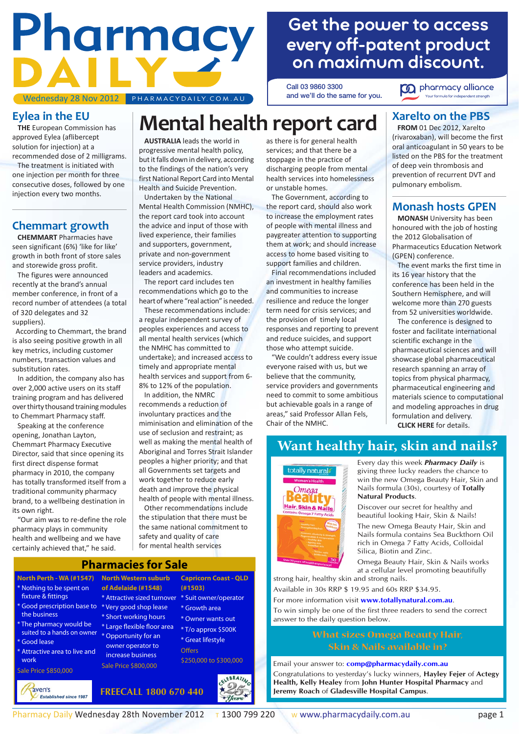# Pharmacy D A Wednesday 28 Nov 2012 PHARMACYDAILY.COM.AU

# **Get the power to access [every off-patent product](http://www.traveldaily.com.au/click/redirect.asp?url=http://www.pharmacyalliance.com.au)  on maximum discount.**

**Call 03 9860 3300 and we'll do the same for you.**



## **Eylea in the EU**

 **THE** European Commission has approved Eylea (aflibercept solution for injection) at a recommended dose of 2 milligrams. The treatment is initiated with one injection per month for three consecutive doses, followed by one injection every two months.

## **Chemmart growth**

 **CHEMMART** Pharmacies have seen significant (6%) 'like for like' growth in both front of store sales and storewide gross profit.

 The figures were announced recently at the brand's annual member conference, in front of a record number of attendees (a total of 320 delegates and 32 suppliers).

 According to Chemmart, the brand is also seeing positive growth in all key metrics, including customer numbers, transaction values and substitution rates.

 In addition, the company also has over 2,000 active users on its staff training program and has delivered over thirty thousand training modules to Chemmart Pharmacy staff.

 Speaking at the conference opening, Jonathan Layton, Chemmart Pharmacy Executive Director, said that since opening its first direct dispense format pharmacy in 2010, the company has totally transformed itself from a traditional community pharmacy brand, to a wellbeing destination in its own right.

 "Our aim was to re-define the role pharmacy plays in community health and wellbeing and we have certainly achieved that," he said.

fixture & fittings

the business

Good lease

Sale Price \$850,000

aven's

work

*Established since 1987*

 **AUSTRALIA** leads the world in progressive mental health policy, but it falls down in delivery, according to the findings of the nation's very first National Report Card into Mental Health and Suicide Prevention.

 Undertaken by the National Mental Health Commission (NMHC), the report card took into account the advice and input of those with lived experience, their families and supporters, government, private and non-government service providers, industry leaders and academics.

 The report card includes ten recommendations which go to the heart of where "real action" is needed.

 These recommendations include: a regular independent survey of peoples experiences and access to all mental health services (which the NMHC has committed to undertake); and increased access to timely and appropriate mental health services and support from 6- 8% to 12% of the population.

 In addition, the NMRC recommends a reduction of involuntary practices and the miminisation and elimination of the use of seclusion and restraint; as well as making the mental health of Aboriginal and Torres Strait Islander peoples a higher priority; and that all Governments set targets and work together to reduce early death and improve the physical health of people with mental illness.

 Other recommendations include the stipulation that there must be the same national commitment to safety and quality of care for mental health services

### as there is for general health services; and that there be a stoppage in the practice of discharging people from mental health services into homelessness or unstable homes.

**Mental health report card**

 The Government, according to the report card, should also work to increase the employment rates of people with mental illness and paygreater attention to supporting them at work; and should increase access to home based visiting to support families and children.

 Final recommendations included an investment in healthy families and communities to increase resilience and reduce the longer term need for crisis services; and the provision of timely local responses and reporting to prevent and reduce suicides, and support those who attempt suicide.

 "We couldn't address every issue everyone raised with us, but we believe that the community, service providers and governments need to commit to some ambitious but achievable goals in a range of areas," said Professor Allan Fels, Chair of the NMHC.

## **Xarelto on the PBS**

 **FROM** 01 Dec 2012, Xarelto (rivaroxaban), will become the first oral anticoagulant in 50 years to be listed on the PBS for the treatment of deep vein thrombosis and prevention of recurrent DVT and pulmonary embolism.

## **Monash hosts GPEN**

 **MONASH** University has been honoured with the job of hosting the 2012 Globalisation of Pharmaceutics Education Network (GPEN) conference.

 The event marks the first time in its 16 year history that the conference has been held in the Southern Hemisphere, and will welcome more than 270 guests from 52 universities worldwide.

 The conference is designed to foster and facilitate international scientific exchange in the pharmaceutical sciences and will showcase global pharmaceutical research spanning an array of topics from physical pharmacy, pharmaceutical engineering and materials science to computational and modeling approaches in drug formulation and delivery.

**[CLICK HERE](http://www.monash.edu.au/pharm/about/events/gpen/index.html)** for details.

## **Want healthy hair, skin and nails?**



Every day this week *Pharmacy Daily* is giving three lucky readers the chance to win the new Omega Beauty Hair, Skin and Nails formula (30s), courtesy of **Totally Natural Products**.

Discover our secret for healthy and beautiful looking Hair, Skin & Nails!

The new Omega Beauty Hair, Skin and Nails formula contains Sea Buckthorn Oil rich in Omega 7 Fatty Acids, Colloidal Silica, Biotin and Zinc.

Omega Beauty Hair, Skin & Nails works at a cellular level promoting beautifully strong hair, healthy skin and strong nails.

Available in 30s RRP \$ 19.95 and 60s RRP \$34.95.

For more information visit **www.totallynatural.com.au**.

To win simply be one of the first three readers to send the correct answer to the daily question below.

# **What sizes Omega Beauty Hair,**

**Skin & Nails available in?** Email your answer to: **comp@pharmacydaily.com.au** Congratulations to yesterday's lucky winners, **Hayley Fejer** of **Actegy Health, Kelly Healey** from **John Hunter Hospital Pharmacy** and **Jeremy Roach** of **Gladesville Hospital Campus**.

**North Perth - WA (#1547)** Nothing to be spent on \* Good prescription base to \* Very good shop lease The pharmacy would be suited to a hands on owner Attractive area to live and **North Western suburb of Adelaide (#1548)** \* Attractive sized turnover \* Suit owner/operator \* Short working hours <sup>\*</sup> Large flexible floor area \* Opportunity for an owner operator to **Capricorn Coast - QLD (#1503)** \* Growth area \* Owner wants out \* T/o approx \$500K \* Great lifestyle Offers

**[Pharmacies for Sale](http://www.traveldaily.com.au/click/redirect.asp?url=http://www.ravens.com.au/RavensProductList.aspx?PriceFrom=&PriceTo=&CategoryID=1&SubCategoryID=35&ManufacturerID=&RangeID=&Submit=Search)**

 increase business Sale Price \$800,000

**FREECALL 1800 670 440**



\$250,000 to \$300,000

Pharmacy Daily Wednesday 28th November 2012  $\frac{1}{1}$  1300 799 220 W www.pharmacydaily.com.au page 1